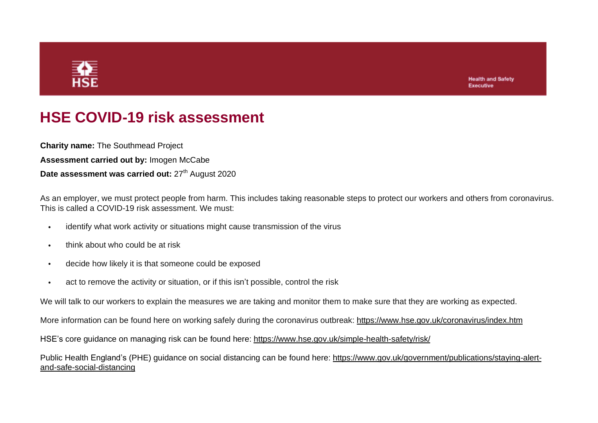

**Health and Safety Executive** 

## **HSE COVID-19 risk assessment**

**Charity name:** The Southmead Project

**Assessment carried out by:** Imogen McCabe

**Date assessment was carried out:** 27<sup>th</sup> August 2020

As an employer, we must protect people from harm. This includes taking reasonable steps to protect our workers and others from coronavirus. This is called a COVID-19 risk assessment. We must:

- identify what work activity or situations might cause transmission of the virus
- think about who could be at risk
- decide how likely it is that someone could be exposed
- act to remove the activity or situation, or if this isn't possible, control the risk

We will talk to our workers to explain the measures we are taking and monitor them to make sure that they are working as expected.

More information can be found here on working safely during the coronavirus outbreak: <https://www.hse.gov.uk/coronavirus/index.htm>

HSE's core guidance on managing risk can be found here: <https://www.hse.gov.uk/simple-health-safety/risk/>

Public Health England's (PHE) guidance on social distancing can be found here: [https://www.gov.uk/government/publications/staying-alert](https://www.gov.uk/government/publications/staying-alert-and-safe-social-distancing)[and-safe-social-distancing](https://www.gov.uk/government/publications/staying-alert-and-safe-social-distancing)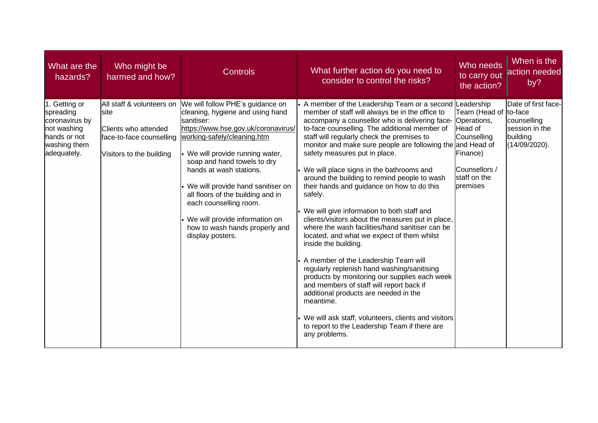| What are the<br>hazards?                                                                                   | Who might be<br>harmed and how?                                                             | <b>Controls</b>                                                                                                                                                                                                                                                                                                                                                                                                                                                            | What further action do you need to<br>consider to control the risks?                                                                                                                                                                                                                                                                                                                                                                                                                                                                                                                                                                                                                                                                                                                                                                                                                                                                                                                                                                                                                                          | Who needs<br>to carry out<br>the action?                                                                        | When is the<br>action needed<br>by?                                                             |
|------------------------------------------------------------------------------------------------------------|---------------------------------------------------------------------------------------------|----------------------------------------------------------------------------------------------------------------------------------------------------------------------------------------------------------------------------------------------------------------------------------------------------------------------------------------------------------------------------------------------------------------------------------------------------------------------------|---------------------------------------------------------------------------------------------------------------------------------------------------------------------------------------------------------------------------------------------------------------------------------------------------------------------------------------------------------------------------------------------------------------------------------------------------------------------------------------------------------------------------------------------------------------------------------------------------------------------------------------------------------------------------------------------------------------------------------------------------------------------------------------------------------------------------------------------------------------------------------------------------------------------------------------------------------------------------------------------------------------------------------------------------------------------------------------------------------------|-----------------------------------------------------------------------------------------------------------------|-------------------------------------------------------------------------------------------------|
| 1. Getting or<br>spreading<br>coronavirus by<br>not washing<br>hands or not<br>washing them<br>adequately. | <b>site</b><br>Clients who attended<br>face-to-face counselling<br>Visitors to the building | All staff & volunteers on We will follow PHE's guidance on<br>cleaning, hygiene and using hand<br>sanitiser:<br>https://www.hse.gov.uk/coronavirus/<br>working-safely/cleaning.htm<br>We will provide running water,<br>soap and hand towels to dry<br>hands at wash stations.<br>We will provide hand sanitiser on<br>all floors of the building and in<br>each counselling room.<br>We will provide information on<br>how to wash hands properly and<br>display posters. | A member of the Leadership Team or a second Leadership<br>member of staff will always be in the office to<br>accompany a counsellor who is delivering face-<br>to-face counselling. The additional member of<br>staff will regularly check the premises to<br>monitor and make sure people are following the and Head of<br>safety measures put in place.<br>We will place signs in the bathrooms and<br>around the building to remind people to wash<br>their hands and guidance on how to do this<br>safely.<br>We will give information to both staff and<br>clients/visitors about the measures put in place,<br>where the wash facilities/hand sanitiser can be<br>located, and what we expect of them whilst<br>inside the building.<br>A member of the Leadership Team will<br>regularly replenish hand washing/sanitising<br>products by monitoring our supplies each week<br>and members of staff will report back if<br>additional products are needed in the<br>meantime.<br>We will ask staff, volunteers, clients and visitors<br>to report to the Leadership Team if there are<br>any problems. | Team (Head of<br>Operations,<br>Head of<br>Counselling<br>Finance)<br>Counsellors /<br>staff on the<br>premises | Date of first face-<br>to-face<br>counselling<br>session in the<br>building<br>$(14/09/2020)$ . |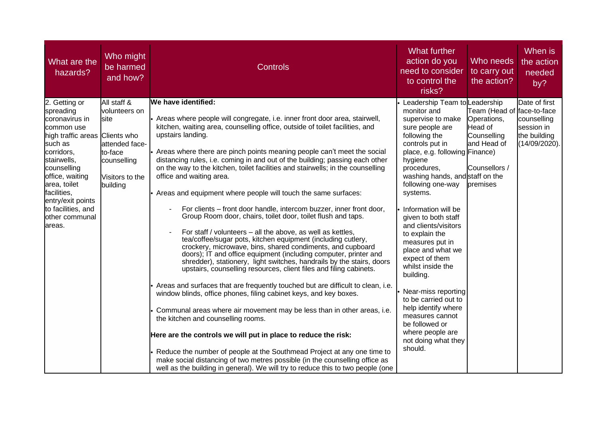| What are the<br>hazards?                                                                                                                                                                                                                                                     | Who might<br>be harmed<br>and how?                                                                              | <b>Controls</b>                                                                                                                                                                                                                                                                                                                                                                                                                                                                                                                                                                                                                                                                                                                                                                                                                                                                                                                                                                                                                                                                                                                                                                                                                                                                                                                                                                                                                                                                                                                                                                                                                                                                                   | What further<br>action do you<br>need to consider<br>to control the<br>risks?                                                                                                                                                                                                                                                                                                                                                                                                                                                                                                                                 | Who needs<br>to carry out<br>the action?                                                                        | When is<br>the action<br>needed<br>by?                                      |
|------------------------------------------------------------------------------------------------------------------------------------------------------------------------------------------------------------------------------------------------------------------------------|-----------------------------------------------------------------------------------------------------------------|---------------------------------------------------------------------------------------------------------------------------------------------------------------------------------------------------------------------------------------------------------------------------------------------------------------------------------------------------------------------------------------------------------------------------------------------------------------------------------------------------------------------------------------------------------------------------------------------------------------------------------------------------------------------------------------------------------------------------------------------------------------------------------------------------------------------------------------------------------------------------------------------------------------------------------------------------------------------------------------------------------------------------------------------------------------------------------------------------------------------------------------------------------------------------------------------------------------------------------------------------------------------------------------------------------------------------------------------------------------------------------------------------------------------------------------------------------------------------------------------------------------------------------------------------------------------------------------------------------------------------------------------------------------------------------------------------|---------------------------------------------------------------------------------------------------------------------------------------------------------------------------------------------------------------------------------------------------------------------------------------------------------------------------------------------------------------------------------------------------------------------------------------------------------------------------------------------------------------------------------------------------------------------------------------------------------------|-----------------------------------------------------------------------------------------------------------------|-----------------------------------------------------------------------------|
| 2. Getting or<br>spreading<br>coronavirus in<br>common use<br>high traffic areas Clients who<br>such as<br>corridors,<br>stairwells,<br>counselling<br>office, waiting<br>area, toilet<br>facilities,<br>entry/exit points<br>to facilities, and<br>other communal<br>areas. | All staff &<br>volunteers on<br>site<br>attended face-<br>to-face<br>counselling<br>Visitors to the<br>building | We have identified:<br>Areas where people will congregate, i.e. inner front door area, stairwell,<br>kitchen, waiting area, counselling office, outside of toilet facilities, and<br>upstairs landing.<br>Areas where there are pinch points meaning people can't meet the social<br>distancing rules, i.e. coming in and out of the building; passing each other<br>on the way to the kitchen, toilet facilities and stairwells; in the counselling<br>office and waiting area.<br>Areas and equipment where people will touch the same surfaces:<br>For clients – front door handle, intercom buzzer, inner front door,<br>Group Room door, chairs, toilet door, toilet flush and taps.<br>For staff / volunteers - all the above, as well as kettles,<br>tea/coffee/sugar pots, kitchen equipment (including cutlery,<br>crockery, microwave, bins, shared condiments, and cupboard<br>doors); IT and office equipment (including computer, printer and<br>shredder), stationery, light switches, handrails by the stairs, doors<br>upstairs, counselling resources, client files and filing cabinets.<br>Areas and surfaces that are frequently touched but are difficult to clean, i.e.<br>window blinds, office phones, filing cabinet keys, and key boxes.<br>Communal areas where air movement may be less than in other areas, i.e.<br>the kitchen and counselling rooms.<br>Here are the controls we will put in place to reduce the risk:<br>Reduce the number of people at the Southmead Project at any one time to<br>make social distancing of two metres possible (in the counselling office as<br>well as the building in general). We will try to reduce this to two people (one | Leadership Team to Leadership<br>monitor and<br>supervise to make<br>sure people are<br>following the<br>controls put in<br>place, e.g. following Finance)<br>hygiene<br>procedures,<br>washing hands, and staff on the<br>following one-way<br>systems.<br>Information will be<br>given to both staff<br>and clients/visitors<br>to explain the<br>measures put in<br>place and what we<br>expect of them<br>whilst inside the<br>building.<br>Near-miss reporting<br>to be carried out to<br>help identify where<br>measures cannot<br>be followed or<br>where people are<br>not doing what they<br>should. | Team (Head of face-to-face<br>Operations,<br>Head of<br>Counselling<br>and Head of<br>Counsellors /<br>premises | Date of first<br>counselling<br>session in<br>the building<br>(14/09/2020). |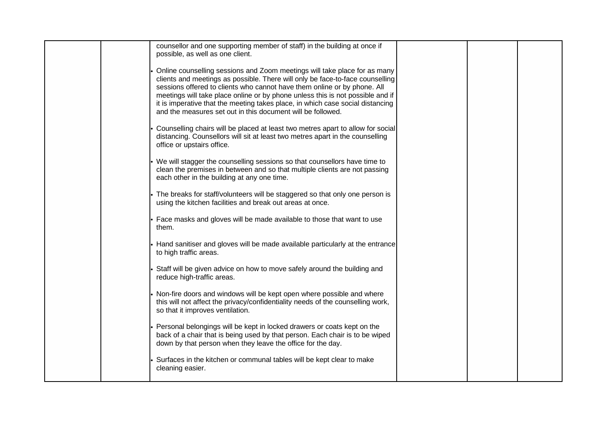| counsellor and one supporting member of staff) in the building at once if<br>possible, as well as one client.                                                                                                                                                                                                                                                                                                                                                             |  |  |
|---------------------------------------------------------------------------------------------------------------------------------------------------------------------------------------------------------------------------------------------------------------------------------------------------------------------------------------------------------------------------------------------------------------------------------------------------------------------------|--|--|
| Online counselling sessions and Zoom meetings will take place for as many<br>clients and meetings as possible. There will only be face-to-face counselling<br>sessions offered to clients who cannot have them online or by phone. All<br>meetings will take place online or by phone unless this is not possible and if<br>it is imperative that the meeting takes place, in which case social distancing<br>and the measures set out in this document will be followed. |  |  |
| Counselling chairs will be placed at least two metres apart to allow for social<br>distancing. Counsellors will sit at least two metres apart in the counselling<br>office or upstairs office.                                                                                                                                                                                                                                                                            |  |  |
| We will stagger the counselling sessions so that counsellors have time to<br>clean the premises in between and so that multiple clients are not passing<br>each other in the building at any one time.                                                                                                                                                                                                                                                                    |  |  |
| The breaks for staff/volunteers will be staggered so that only one person is<br>using the kitchen facilities and break out areas at once.                                                                                                                                                                                                                                                                                                                                 |  |  |
| Face masks and gloves will be made available to those that want to use<br>them.                                                                                                                                                                                                                                                                                                                                                                                           |  |  |
| Hand sanitiser and gloves will be made available particularly at the entrance<br>to high traffic areas.                                                                                                                                                                                                                                                                                                                                                                   |  |  |
| Staff will be given advice on how to move safely around the building and<br>reduce high-traffic areas.                                                                                                                                                                                                                                                                                                                                                                    |  |  |
| Non-fire doors and windows will be kept open where possible and where<br>this will not affect the privacy/confidentiality needs of the counselling work,<br>so that it improves ventilation.                                                                                                                                                                                                                                                                              |  |  |
| Personal belongings will be kept in locked drawers or coats kept on the<br>back of a chair that is being used by that person. Each chair is to be wiped<br>down by that person when they leave the office for the day.                                                                                                                                                                                                                                                    |  |  |
| Surfaces in the kitchen or communal tables will be kept clear to make<br>cleaning easier.                                                                                                                                                                                                                                                                                                                                                                                 |  |  |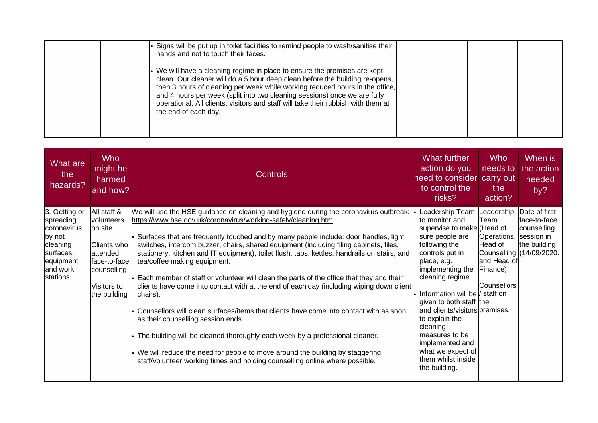| Signs will be put up in toilet facilities to remind people to wash/sanitise their<br>hands and not to touch their faces.                                                                                                                                                                                                                                                                                                                  |  |  |
|-------------------------------------------------------------------------------------------------------------------------------------------------------------------------------------------------------------------------------------------------------------------------------------------------------------------------------------------------------------------------------------------------------------------------------------------|--|--|
| $\cdot$ We will have a cleaning regime in place to ensure the premises are kept<br>clean. Our cleaner will do a 5 hour deep clean before the building re-opens,<br>then 3 hours of cleaning per week while working reduced hours in the office,<br>and 4 hours per week (split into two cleaning sessions) once we are fully<br>operational. All clients, visitors and staff will take their rubbish with them at<br>the end of each day. |  |  |

| What are<br>the<br>hazards?                                                                                       | <b>Who</b><br>might be<br>harmed<br>and how?                                                                                                 | <b>Controls</b>                                                                                                                                                                                                                                                                                                                                                                                                                                                                                                                                                                                                                                                                                                                                                                                                                                                                                                                                                                                                                                               | <b>What further</b><br>action do you<br>need to consider<br>to control the<br>risks?                                                                                                                                                                                                                                                                                                                        | <b>Who</b><br>needs to<br>carry out<br>the<br>action?                                                                                | When is<br>the action<br>needed<br>by?                       |
|-------------------------------------------------------------------------------------------------------------------|----------------------------------------------------------------------------------------------------------------------------------------------|---------------------------------------------------------------------------------------------------------------------------------------------------------------------------------------------------------------------------------------------------------------------------------------------------------------------------------------------------------------------------------------------------------------------------------------------------------------------------------------------------------------------------------------------------------------------------------------------------------------------------------------------------------------------------------------------------------------------------------------------------------------------------------------------------------------------------------------------------------------------------------------------------------------------------------------------------------------------------------------------------------------------------------------------------------------|-------------------------------------------------------------------------------------------------------------------------------------------------------------------------------------------------------------------------------------------------------------------------------------------------------------------------------------------------------------------------------------------------------------|--------------------------------------------------------------------------------------------------------------------------------------|--------------------------------------------------------------|
| 3. Getting or<br>spreading<br>coronavirus<br>by not<br>cleaning<br>surfaces,<br>equipment<br>and work<br>stations | All staff &<br><b>volunteers</b><br>lon site<br><b>Clients who</b><br>attended<br>face-to-face<br>counselling<br>Visitors to<br>the building | We will use the HSE guidance on cleaning and hygiene during the coronavirus outbreak:<br>https://www.hse.gov.uk/coronavirus/working-safely/cleaning.htm<br>Surfaces that are frequently touched and by many people include: door handles, light<br>switches, intercom buzzer, chairs, shared equipment (including filing cabinets, files,<br>stationery, kitchen and IT equipment), toilet flush, taps, kettles, handrails on stairs, and<br>tea/coffee making equipment.<br>Each member of staff or volunteer will clean the parts of the office that they and their<br>clients have come into contact with at the end of each day (including wiping down client<br>chairs).<br>Counsellors will clean surfaces/items that clients have come into contact with as soon<br>as their counselling session ends.<br>The building will be cleaned thoroughly each week by a professional cleaner.<br>We will reduce the need for people to move around the building by staggering<br>staff/volunteer working times and holding counselling online where possible. | Leadership Team<br>to monitor and<br>supervise to make (Head of<br>sure people are<br>following the<br>controls put in<br>place, e.g.<br>implementing the<br>cleaning regime.<br>Information will be / staff on<br>given to both staff the<br>and clients/visitors/premises.<br>to explain the<br>cleaning<br>measures to be<br>implemented and<br>what we expect of<br>them whilst inside<br>the building. | Leadership<br>Team<br>Operations, session in<br>Head of<br>Counselling (14/09/2020.<br>and Head of<br>Finance)<br><b>Counsellors</b> | Date of first<br>face-to-face<br>counselling<br>the building |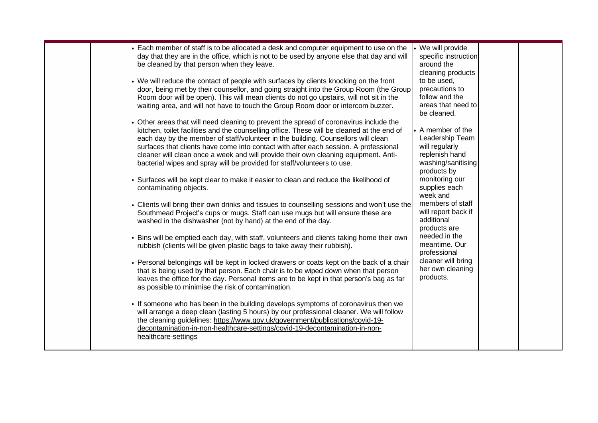| Each member of staff is to be allocated a desk and computer equipment to use on the<br>day that they are in the office, which is not to be used by anyone else that day and will<br>be cleaned by that person when they leave.<br>We will reduce the contact of people with surfaces by clients knocking on the front<br>door, being met by their counsellor, and going straight into the Group Room (the Group<br>Room door will be open). This will mean clients do not go upstairs, will not sit in the<br>waiting area, and will not have to touch the Group Room door or intercom buzzer.<br>Other areas that will need cleaning to prevent the spread of coronavirus include the<br>kitchen, toilet facilities and the counselling office. These will be cleaned at the end of<br>each day by the member of staff/volunteer in the building. Counsellors will clean<br>surfaces that clients have come into contact with after each session. A professional<br>cleaner will clean once a week and will provide their own cleaning equipment. Anti-<br>bacterial wipes and spray will be provided for staff/volunteers to use.<br>Surfaces will be kept clear to make it easier to clean and reduce the likelihood of<br>contaminating objects.<br>Clients will bring their own drinks and tissues to counselling sessions and won't use the<br>Southmead Project's cups or mugs. Staff can use mugs but will ensure these are<br>washed in the dishwasher (not by hand) at the end of the day.<br>Bins will be emptied each day, with staff, volunteers and clients taking home their own<br>rubbish (clients will be given plastic bags to take away their rubbish).<br>Personal belongings will be kept in locked drawers or coats kept on the back of a chair<br>that is being used by that person. Each chair is to be wiped down when that person<br>leaves the office for the day. Personal items are to be kept in that person's bag as far<br>as possible to minimise the risk of contamination. | We will provide<br>specific instruction<br>around the<br>cleaning products<br>to be used,<br>precautions to<br>follow and the<br>areas that need to<br>be cleaned.<br>A member of the<br>Leadership Team<br>will regularly<br>replenish hand<br>washing/sanitising<br>products by<br>monitoring our<br>supplies each<br>week and<br>members of staff<br>will report back if<br>additional<br>products are<br>needed in the<br>meantime. Our<br>professional<br>cleaner will bring<br>her own cleaning<br>products. |  |
|----------------------------------------------------------------------------------------------------------------------------------------------------------------------------------------------------------------------------------------------------------------------------------------------------------------------------------------------------------------------------------------------------------------------------------------------------------------------------------------------------------------------------------------------------------------------------------------------------------------------------------------------------------------------------------------------------------------------------------------------------------------------------------------------------------------------------------------------------------------------------------------------------------------------------------------------------------------------------------------------------------------------------------------------------------------------------------------------------------------------------------------------------------------------------------------------------------------------------------------------------------------------------------------------------------------------------------------------------------------------------------------------------------------------------------------------------------------------------------------------------------------------------------------------------------------------------------------------------------------------------------------------------------------------------------------------------------------------------------------------------------------------------------------------------------------------------------------------------------------------------------------------------------------------------------------------------------------------------------------------------------------|--------------------------------------------------------------------------------------------------------------------------------------------------------------------------------------------------------------------------------------------------------------------------------------------------------------------------------------------------------------------------------------------------------------------------------------------------------------------------------------------------------------------|--|
| If someone who has been in the building develops symptoms of coronavirus then we<br>will arrange a deep clean (lasting 5 hours) by our professional cleaner. We will follow<br>the cleaning guidelines: https://www.gov.uk/government/publications/covid-19-<br>decontamination-in-non-healthcare-settings/covid-19-decontamination-in-non-<br>healthcare-settings                                                                                                                                                                                                                                                                                                                                                                                                                                                                                                                                                                                                                                                                                                                                                                                                                                                                                                                                                                                                                                                                                                                                                                                                                                                                                                                                                                                                                                                                                                                                                                                                                                             |                                                                                                                                                                                                                                                                                                                                                                                                                                                                                                                    |  |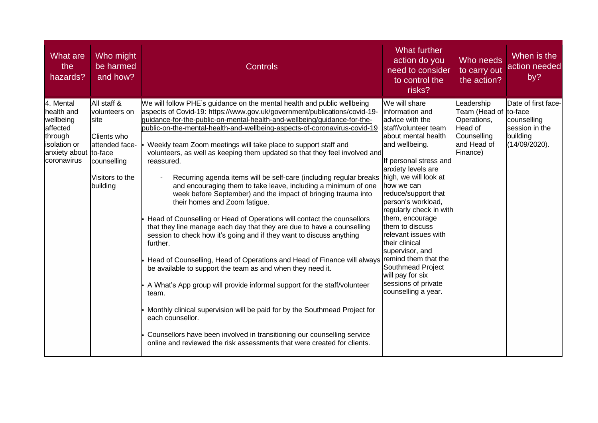| What are<br>the<br>hazards?                                                                                                                                   | Who might<br>be harmed<br>and how?                                               | <b>Controls</b>                                                                                                                                                                                                                                                                                                                                                                                                                                                                                                                                                                                                                                                                                                                                                                                                                                                                                                                                                                                                                                                                                                                                                                                                                                                                                                                                                                                                                                                          | <b>What further</b><br>action do you<br>need to consider<br>to control the<br>risks?                                                                                                                                                                                                                                                                                                                                                                                          | Who needs<br>to carry out<br>the action?                                                                | When is the<br>action needed<br>by?                                               |
|---------------------------------------------------------------------------------------------------------------------------------------------------------------|----------------------------------------------------------------------------------|--------------------------------------------------------------------------------------------------------------------------------------------------------------------------------------------------------------------------------------------------------------------------------------------------------------------------------------------------------------------------------------------------------------------------------------------------------------------------------------------------------------------------------------------------------------------------------------------------------------------------------------------------------------------------------------------------------------------------------------------------------------------------------------------------------------------------------------------------------------------------------------------------------------------------------------------------------------------------------------------------------------------------------------------------------------------------------------------------------------------------------------------------------------------------------------------------------------------------------------------------------------------------------------------------------------------------------------------------------------------------------------------------------------------------------------------------------------------------|-------------------------------------------------------------------------------------------------------------------------------------------------------------------------------------------------------------------------------------------------------------------------------------------------------------------------------------------------------------------------------------------------------------------------------------------------------------------------------|---------------------------------------------------------------------------------------------------------|-----------------------------------------------------------------------------------|
| All staff &<br>4. Mental<br>health and<br>wellbeing<br><b>site</b><br>affected<br>through<br>isolation or<br>anxiety about to-face<br>coronavirus<br>building | volunteers on<br>Clients who<br>attended face-<br>counselling<br>Visitors to the | We will follow PHE's guidance on the mental health and public wellbeing<br>aspects of Covid-19: https://www.gov.uk/government/publications/covid-19-<br>guidance-for-the-public-on-mental-health-and-wellbeing/guidance-for-the-<br>public-on-the-mental-health-and-wellbeing-aspects-of-coronavirus-covid-19<br>Weekly team Zoom meetings will take place to support staff and<br>volunteers, as well as keeping them updated so that they feel involved and<br>reassured.<br>Recurring agenda items will be self-care (including regular breaks<br>and encouraging them to take leave, including a minimum of one<br>week before September) and the impact of bringing trauma into<br>their homes and Zoom fatigue.<br>Head of Counselling or Head of Operations will contact the counsellors<br>that they line manage each day that they are due to have a counselling<br>session to check how it's going and if they want to discuss anything<br>further.<br>Head of Counselling, Head of Operations and Head of Finance will always remind them that the<br>be available to support the team as and when they need it.<br>A What's App group will provide informal support for the staff/volunteer<br>team.<br>Monthly clinical supervision will be paid for by the Southmead Project for<br>each counsellor.<br>Counsellors have been involved in transitioning our counselling service<br>online and reviewed the risk assessments that were created for clients. | We will share<br>information and<br>advice with the<br>staff/volunteer team<br>about mental health<br>and wellbeing.<br>If personal stress and<br>anxiety levels are<br>high, we will look at<br>how we can<br>reduce/support that<br>person's workload,<br>regularly check in with<br>them, encourage<br>them to discuss<br>relevant issues with<br>their clinical<br>supervisor, and<br>Southmead Project<br>will pay for six<br>sessions of private<br>counselling a year. | Leadership<br>Team (Head of to-face<br>Operations,<br>Head of<br>Counselling<br>and Head of<br>Finance) | Date of first face-<br>counselling<br>session in the<br>building<br>(14/09/2020). |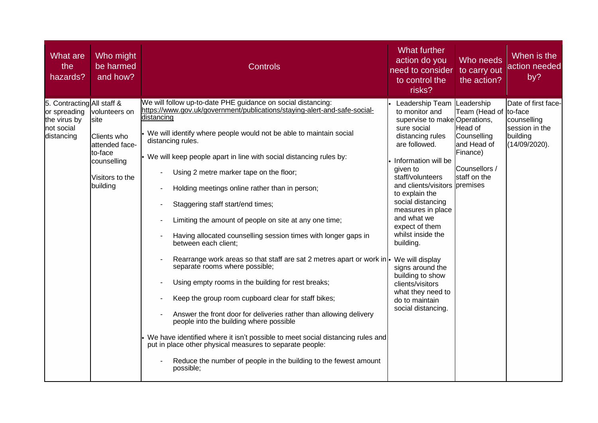| Who might<br>What are<br>be harmed<br>the<br>hazards?<br>and how?                                                                                                                                                | <b>Controls</b>                                                                                                                                                                                                                                                                                                                                                                                                                                                                                                                                                                                                                                                                                                                                                                                                                                                                                                                                                                                                                                                                                                                                                                          | <b>What further</b><br>action do you<br>need to consider<br>to control the<br>risks?                                                                                                                                                                                                                                                                                                                                                                                                      | Who needs<br>to carry out<br>the action?                                                                          | When is the<br>action needed<br>by?                                                          |
|------------------------------------------------------------------------------------------------------------------------------------------------------------------------------------------------------------------|------------------------------------------------------------------------------------------------------------------------------------------------------------------------------------------------------------------------------------------------------------------------------------------------------------------------------------------------------------------------------------------------------------------------------------------------------------------------------------------------------------------------------------------------------------------------------------------------------------------------------------------------------------------------------------------------------------------------------------------------------------------------------------------------------------------------------------------------------------------------------------------------------------------------------------------------------------------------------------------------------------------------------------------------------------------------------------------------------------------------------------------------------------------------------------------|-------------------------------------------------------------------------------------------------------------------------------------------------------------------------------------------------------------------------------------------------------------------------------------------------------------------------------------------------------------------------------------------------------------------------------------------------------------------------------------------|-------------------------------------------------------------------------------------------------------------------|----------------------------------------------------------------------------------------------|
| 5. Contracting All staff &<br>or spreading<br>volunteers on<br>the virus by<br>site<br>not social<br>distancing<br><b>Clients who</b><br>attended face-<br>to-face<br>counselling<br>Visitors to the<br>building | We will follow up-to-date PHE guidance on social distancing:<br>https://www.gov.uk/government/publications/staying-alert-and-safe-social-<br>distancing<br>We will identify where people would not be able to maintain social<br>distancing rules.<br>• We will keep people apart in line with social distancing rules by:<br>Using 2 metre marker tape on the floor;<br>Holding meetings online rather than in person;<br>Staggering staff start/end times;<br>Limiting the amount of people on site at any one time;<br>Having allocated counselling session times with longer gaps in<br>between each client;<br>Rearrange work areas so that staff are sat 2 metres apart or work in.<br>separate rooms where possible;<br>Using empty rooms in the building for rest breaks;<br>Keep the group room cupboard clear for staff bikes;<br>Answer the front door for deliveries rather than allowing delivery<br>people into the building where possible<br>We have identified where it isn't possible to meet social distancing rules and<br>put in place other physical measures to separate people:<br>Reduce the number of people in the building to the fewest amount<br>possible; | Leadership Team<br>to monitor and<br>supervise to make Operations,<br>sure social<br>distancing rules<br>are followed.<br>Information will be<br>given to<br>staff/volunteers<br>and clients/visitors premises<br>to explain the<br>social distancing<br>measures in place<br>and what we<br>expect of them<br>whilst inside the<br>building.<br>We will display<br>signs around the<br>building to show<br>clients/visitors<br>what they need to<br>do to maintain<br>social distancing. | Leadership<br>Team (Head of<br>Head of<br>Counselling<br>and Head of<br>Finance)<br>Counsellors /<br>staff on the | Date of first face-<br>to-face<br>counselling<br>session in the<br>building<br>(14/09/2020). |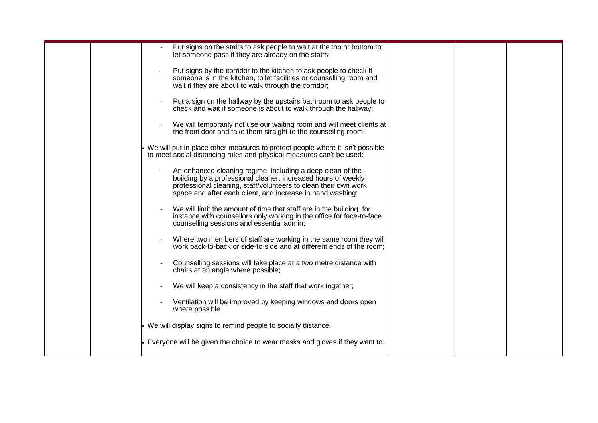|  | Put signs on the stairs to ask people to wait at the top or bottom to<br>let someone pass if they are already on the stairs;                                                                                                                                 |  |
|--|--------------------------------------------------------------------------------------------------------------------------------------------------------------------------------------------------------------------------------------------------------------|--|
|  | Put signs by the corridor to the kitchen to ask people to check if<br>someone is in the kitchen, toilet facilities or counselling room and<br>wait if they are about to walk through the corridor;                                                           |  |
|  | Put a sign on the hallway by the upstairs bathroom to ask people to<br>check and wait if someone is about to walk through the hallway;                                                                                                                       |  |
|  | We will temporarily not use our waiting room and will meet clients at<br>the front door and take them straight to the counselling room.                                                                                                                      |  |
|  | We will put in place other measures to protect people where it isn't possible<br>to meet social distancing rules and physical measures can't be used:                                                                                                        |  |
|  | An enhanced cleaning regime, including a deep clean of the<br>building by a professional cleaner, increased hours of weekly<br>professional cleaning, staff/volunteers to clean their own work<br>space and after each client, and increase in hand washing; |  |
|  | We will limit the amount of time that staff are in the building, for<br>instance with counsellors only working in the office for face-to-face<br>counselling sessions and essential admin;                                                                   |  |
|  | Where two members of staff are working in the same room they will<br>work back-to-back or side-to-side and at different ends of the room;                                                                                                                    |  |
|  | Counselling sessions will take place at a two metre distance with<br>chairs at an angle where possible;                                                                                                                                                      |  |
|  | We will keep a consistency in the staff that work together;                                                                                                                                                                                                  |  |
|  | Ventilation will be improved by keeping windows and doors open<br>where possible.                                                                                                                                                                            |  |
|  | We will display signs to remind people to socially distance.                                                                                                                                                                                                 |  |
|  | Everyone will be given the choice to wear masks and gloves if they want to.                                                                                                                                                                                  |  |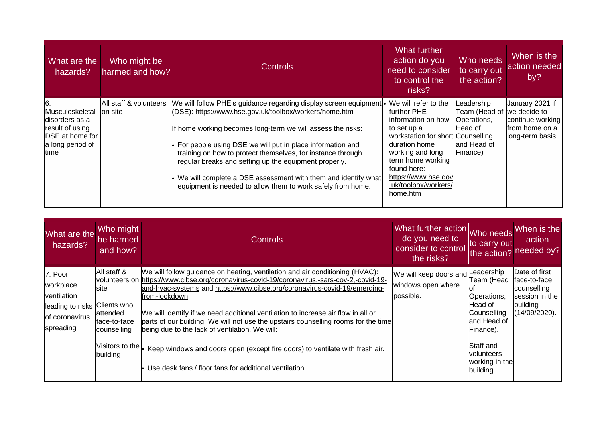| What are the<br>hazards?                                                                               | Who might be<br>harmed and how?    | <b>Controls</b>                                                                                                                                                                                                                                                                                                                                                                                                                                                                                                | What further<br>action do you<br>need to consider<br>to control the<br>risks?                                                                                                                                                                     | Who needs<br>to carry out<br>the action?                                         | When is the<br>action needed<br>by?                                                       |
|--------------------------------------------------------------------------------------------------------|------------------------------------|----------------------------------------------------------------------------------------------------------------------------------------------------------------------------------------------------------------------------------------------------------------------------------------------------------------------------------------------------------------------------------------------------------------------------------------------------------------------------------------------------------------|---------------------------------------------------------------------------------------------------------------------------------------------------------------------------------------------------------------------------------------------------|----------------------------------------------------------------------------------|-------------------------------------------------------------------------------------------|
| lMusculoskeletal<br>ldisorders as a<br>result of using<br>DSE at home for<br>a long period of<br>ltime | All staff & volunteers<br>lon site | We will follow PHE's guidance regarding display screen equipment<br>(DSE): https://www.hse.gov.uk/toolbox/workers/home.htm<br>If home working becomes long-term we will assess the risks:<br>For people using DSE we will put in place information and<br>training on how to protect themselves, for instance through<br>regular breaks and setting up the equipment properly.<br>We will complete a DSE assessment with them and identify what<br>equipment is needed to allow them to work safely from home. | We will refer to the<br>further PHE<br>information on how<br>to set up a<br>workstation for short Counselling<br>duration home<br>working and long<br>term home working<br>found here:<br>https://www.hse.gov<br>.uk/toolbox/workers/<br>home.htm | Leadership<br>Team (Head of<br>Operations,<br>Head of<br>and Head of<br>Finance) | January 2021 if<br>we decide to<br>continue working<br>from home on a<br>long-term basis. |

| What are the<br>hazards?                                                               | Who might<br>be harmed<br>and how?                                                         | <b>Controls</b>                                                                                                                                                                                                                                                                                                                                                                                                                                                                                                                                                                                                                                                       | What further action Who needs<br>do you need to<br>consider to control<br>the risks? | to carry out<br>the action?                                                                                                                                    | When is the<br>action<br>needed by?                                                         |
|----------------------------------------------------------------------------------------|--------------------------------------------------------------------------------------------|-----------------------------------------------------------------------------------------------------------------------------------------------------------------------------------------------------------------------------------------------------------------------------------------------------------------------------------------------------------------------------------------------------------------------------------------------------------------------------------------------------------------------------------------------------------------------------------------------------------------------------------------------------------------------|--------------------------------------------------------------------------------------|----------------------------------------------------------------------------------------------------------------------------------------------------------------|---------------------------------------------------------------------------------------------|
| 7. Poor<br>workplace<br>ventilation<br>leading to risks<br>of coronavirus<br>spreading | All staff &<br>lsite<br>Clients who<br>attended<br>face-to-face<br>counselling<br>building | We will follow guidance on heating, ventilation and air conditioning (HVAC):<br>volunteers on https://www.cibse.org/coronavirus-covid-19/coronavirus,-sars-cov-2,-covid-19-<br>and-hvac-systems and https://www.cibse.org/coronavirus-covid-19/emerging-<br>from-lockdown<br>We will identify if we need additional ventilation to increase air flow in all or<br>parts of our building. We will not use the upstairs counselling rooms for the time<br>being due to the lack of ventilation. We will:<br>Visitors to the  . Keep windows and doors open (except fire doors) to ventilate with fresh air.<br>• Use desk fans / floor fans for additional ventilation. | We will keep doors and<br>windows open where<br>possible.                            | Leadership<br>Team (Head<br>lot<br>Operations,<br>Head of<br>Counselling<br>and Head of<br>Finance).<br>Staff and<br>volunteers<br>working in the<br>building. | Date of first<br>face-to-face<br>counselling<br>session in the<br>building<br>(14/09/2020). |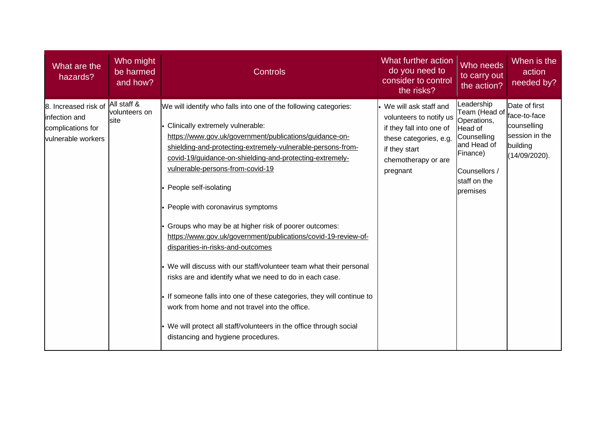| What are the<br>hazards?                                                         | Who might<br>be harmed<br>and how?   | <b>Controls</b>                                                                                                                                                                                                                                                                                                                                                                                                                                                                                                                                                                                                                                                                                                                                                                                                                                                                                                                 | What further action<br>do you need to<br>consider to control<br>the risks?                                                                                 | Who needs<br>to carry out<br>the action?                                                                                                                             | When is the<br>action<br>needed by?                                         |
|----------------------------------------------------------------------------------|--------------------------------------|---------------------------------------------------------------------------------------------------------------------------------------------------------------------------------------------------------------------------------------------------------------------------------------------------------------------------------------------------------------------------------------------------------------------------------------------------------------------------------------------------------------------------------------------------------------------------------------------------------------------------------------------------------------------------------------------------------------------------------------------------------------------------------------------------------------------------------------------------------------------------------------------------------------------------------|------------------------------------------------------------------------------------------------------------------------------------------------------------|----------------------------------------------------------------------------------------------------------------------------------------------------------------------|-----------------------------------------------------------------------------|
| 8. Increased risk of<br>infection and<br>complications for<br>vulnerable workers | All staff &<br>volunteers on<br>site | We will identify who falls into one of the following categories:<br>Clinically extremely vulnerable:<br>https://www.gov.uk/government/publications/guidance-on-<br>shielding-and-protecting-extremely-vulnerable-persons-from-<br>covid-19/guidance-on-shielding-and-protecting-extremely-<br>vulnerable-persons-from-covid-19<br>People self-isolating<br>People with coronavirus symptoms<br>Groups who may be at higher risk of poorer outcomes:<br>https://www.gov.uk/government/publications/covid-19-review-of-<br>disparities-in-risks-and-outcomes<br>We will discuss with our staff/volunteer team what their personal<br>risks are and identify what we need to do in each case.<br>If someone falls into one of these categories, they will continue to<br>work from home and not travel into the office.<br>We will protect all staff/volunteers in the office through social<br>distancing and hygiene procedures. | We will ask staff and<br>volunteers to notify us<br>if they fall into one of<br>these categories, e.g.<br>if they start<br>chemotherapy or are<br>pregnant | Leadership<br>Team (Head of <sub>face-to-face</sub><br>Operations,<br>Head of<br>Counselling<br>and Head of<br>Finance)<br>Counsellors /<br>staff on the<br>premises | Date of first<br>counselling<br>session in the<br>building<br>(14/09/2020). |